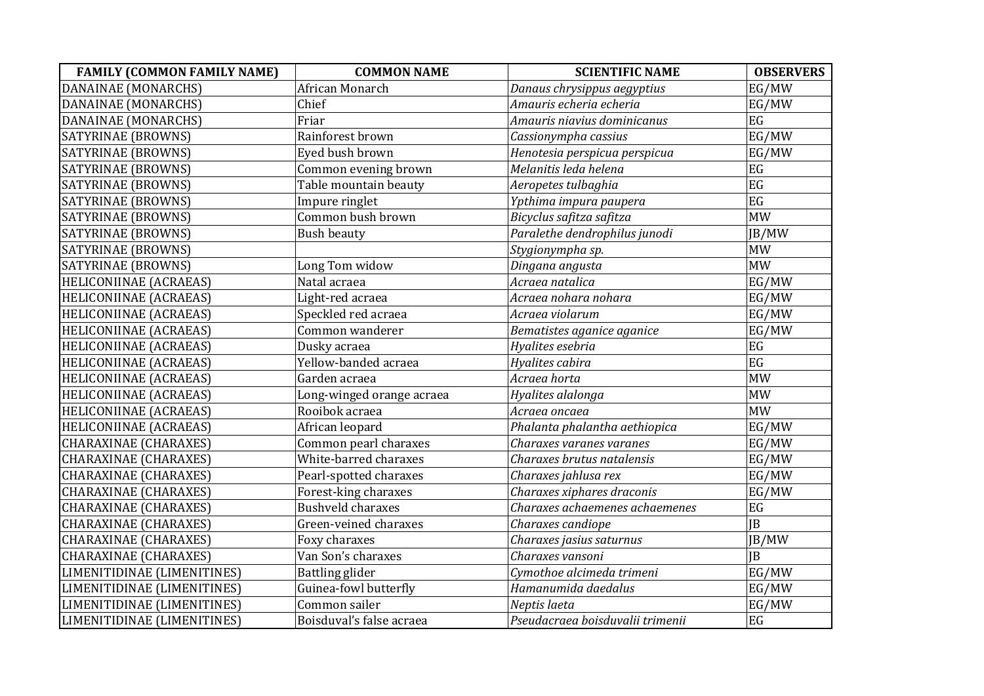| <b>FAMILY (COMMON FAMILY NAME)</b> | <b>COMMON NAME</b>        | <b>SCIENTIFIC NAME</b>           | <b>OBSERVERS</b> |
|------------------------------------|---------------------------|----------------------------------|------------------|
| DANAINAE (MONARCHS)                | African Monarch           | Danaus chrysippus aegyptius      | EG/MW            |
| DANAINAE (MONARCHS)                | Chief                     | Amauris echeria echeria          | EG/MW            |
| DANAINAE (MONARCHS)                | Friar                     | Amauris niavius dominicanus      | EG               |
| SATYRINAE (BROWNS)                 | Rainforest brown          | Cassionympha cassius             | EG/MW            |
| SATYRINAE (BROWNS)                 | Eyed bush brown           | Henotesia perspicua perspicua    | EG/MW            |
| SATYRINAE (BROWNS)                 | Common evening brown      | Melanitis leda helena            | EG               |
| SATYRINAE (BROWNS)                 | Table mountain beauty     | Aeropetes tulbaghia              | EG               |
| SATYRINAE (BROWNS)                 | Impure ringlet            | Ypthima impura paupera           | EG               |
| <b>SATYRINAE (BROWNS)</b>          | Common bush brown         | Bicyclus safitza safitza         | <b>MW</b>        |
| SATYRINAE (BROWNS)                 | <b>Bush beauty</b>        | Paralethe dendrophilus junodi    | JB/MW            |
| SATYRINAE (BROWNS)                 |                           | Stygionympha sp.                 | <b>MW</b>        |
| SATYRINAE (BROWNS)                 | Long Tom widow            | Dingana angusta                  | <b>MW</b>        |
| HELICONIINAE (ACRAEAS)             | Natal acraea              | Acraea natalica                  | EG/MW            |
| <b>HELICONIINAE (ACRAEAS)</b>      | Light-red acraea          | Acraea nohara nohara             | EG/MW            |
| HELICONIINAE (ACRAEAS)             | Speckled red acraea       | Acraea violarum                  | EG/MW            |
| HELICONIINAE (ACRAEAS)             | Common wanderer           | Bematistes aganice aganice       | EG/MW            |
| HELICONIINAE (ACRAEAS)             | Dusky acraea              | Hyalites esebria                 | EG               |
| HELICONIINAE (ACRAEAS)             | Yellow-banded acraea      | Hyalites cabira                  | EG               |
| HELICONIINAE (ACRAEAS)             | Garden acraea             | Acraea horta                     | <b>MW</b>        |
| HELICONIINAE (ACRAEAS)             | Long-winged orange acraea | Hyalites alalonga                | <b>MW</b>        |
| HELICONIINAE (ACRAEAS)             | Rooibok acraea            | Acraea oncaea                    | <b>MW</b>        |
| HELICONIINAE (ACRAEAS)             | African leopard           | Phalanta phalantha aethiopica    | EG/MW            |
| CHARAXINAE (CHARAXES)              | Common pearl charaxes     | Charaxes varanes varanes         | EG/MW            |
| <b>CHARAXINAE (CHARAXES)</b>       | White-barred charaxes     | Charaxes brutus natalensis       | EG/MW            |
| <b>CHARAXINAE (CHARAXES)</b>       | Pearl-spotted charaxes    | Charaxes jahlusa rex             | EG/MW            |
| <b>CHARAXINAE (CHARAXES)</b>       | Forest-king charaxes      | Charaxes xiphares draconis       | EG/MW            |
| <b>CHARAXINAE (CHARAXES)</b>       | <b>Bushveld charaxes</b>  | Charaxes achaemenes achaemenes   | EG               |
| <b>CHARAXINAE (CHARAXES)</b>       | Green-veined charaxes     | Charaxes candiope                | IB               |
| <b>CHARAXINAE (CHARAXES)</b>       | Foxy charaxes             | Charaxes jasius saturnus         | JB/MW            |
| <b>CHARAXINAE (CHARAXES)</b>       | Van Son's charaxes        | Charaxes vansoni                 | IB               |
| LIMENITIDINAE (LIMENITINES)        | Battling glider           | Cymothoe alcimeda trimeni        | EG/MW            |
| LIMENITIDINAE (LIMENITINES)        | Guinea-fowl butterfly     | Hamanumida daedalus              | EG/MW            |
| LIMENITIDINAE (LIMENITINES)        | Common sailer             | Neptis laeta                     | EG/MW            |
| LIMENITIDINAE (LIMENITINES)        | Boisduval's false acraea  | Pseudacraea boisduvalii trimenii | EG               |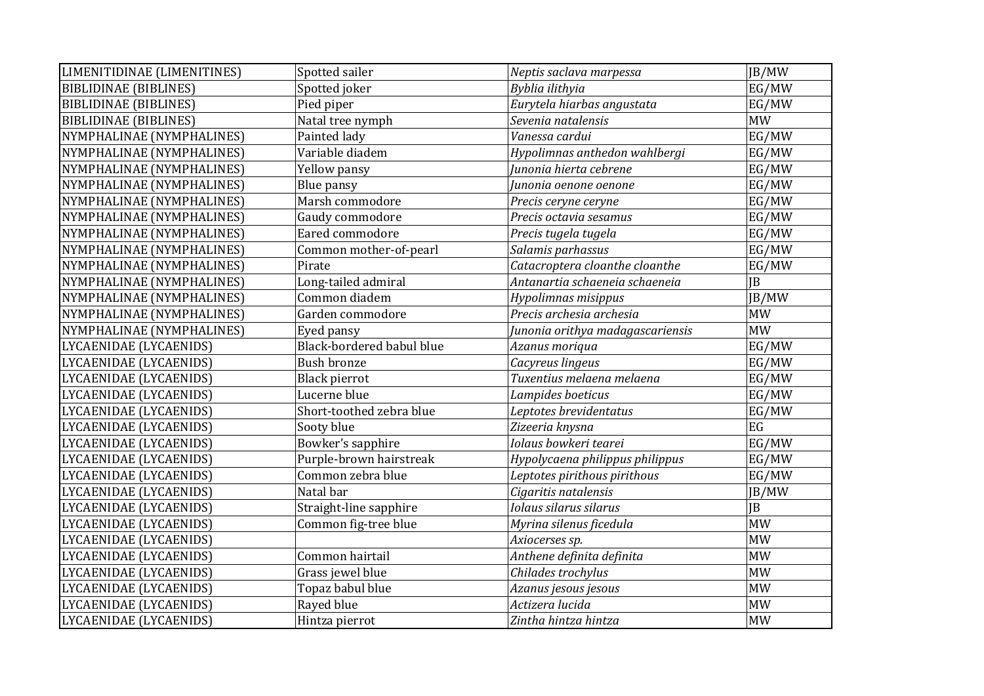| LIMENITIDINAE (LIMENITINES)  | Spotted sailer            | Neptis saclava marpessa          | JB/MW     |
|------------------------------|---------------------------|----------------------------------|-----------|
| <b>BIBLIDINAE (BIBLINES)</b> | Spotted joker             | Byblia ilithyia                  | EG/MW     |
| <b>BIBLIDINAE (BIBLINES)</b> | Pied piper                | Eurytela hiarbas angustata       | EG/MW     |
| <b>BIBLIDINAE (BIBLINES)</b> | Natal tree nymph          | Sevenia natalensis               | <b>MW</b> |
| NYMPHALINAE (NYMPHALINES)    | Painted lady              | Vanessa cardui                   | EG/MW     |
| NYMPHALINAE (NYMPHALINES)    | Variable diadem           | Hypolimnas anthedon wahlbergi    | EG/MW     |
| NYMPHALINAE (NYMPHALINES)    | Yellow pansy              | Junonia hierta cebrene           | EG/MW     |
| NYMPHALINAE (NYMPHALINES)    | <b>Blue pansy</b>         | Junonia oenone oenone            | EG/MW     |
| NYMPHALINAE (NYMPHALINES)    | Marsh commodore           | Precis ceryne ceryne             | EG/MW     |
| NYMPHALINAE (NYMPHALINES)    | Gaudy commodore           | Precis octavia sesamus           | EG/MW     |
| NYMPHALINAE (NYMPHALINES)    | Eared commodore           | Precis tugela tugela             | EG/MW     |
| NYMPHALINAE (NYMPHALINES)    | Common mother-of-pearl    | Salamis parhassus                | EG/MW     |
| NYMPHALINAE (NYMPHALINES)    | Pirate                    | Catacroptera cloanthe cloanthe   | EG/MW     |
| NYMPHALINAE (NYMPHALINES)    | Long-tailed admiral       | Antanartia schaeneia schaeneia   | <b>JB</b> |
| NYMPHALINAE (NYMPHALINES)    | Common diadem             | Hypolimnas misippus              | JB/MW     |
| NYMPHALINAE (NYMPHALINES)    | Garden commodore          | Precis archesia archesia         | <b>MW</b> |
| NYMPHALINAE (NYMPHALINES)    | Eyed pansy                | Junonia orithya madagascariensis | <b>MW</b> |
| LYCAENIDAE (LYCAENIDS)       | Black-bordered babul blue | Azanus moriqua                   | EG/MW     |
| LYCAENIDAE (LYCAENIDS)       | <b>Bush bronze</b>        | Cacyreus lingeus                 | EG/MW     |
| LYCAENIDAE (LYCAENIDS)       | Black pierrot             | Tuxentius melaena melaena        | EG/MW     |
| LYCAENIDAE (LYCAENIDS)       | Lucerne blue              | Lampides boeticus                | EG/MW     |
| LYCAENIDAE (LYCAENIDS)       | Short-toothed zebra blue  | Leptotes brevidentatus           | EG/MW     |
| LYCAENIDAE (LYCAENIDS)       | Sooty blue                | Zizeeria knysna                  | EG        |
| LYCAENIDAE (LYCAENIDS)       | Bowker's sapphire         | Iolaus bowkeri tearei            | EG/MW     |
| LYCAENIDAE (LYCAENIDS)       | Purple-brown hairstreak   | Hypolycaena philippus philippus  | EG/MW     |
| LYCAENIDAE (LYCAENIDS)       | Common zebra blue         | Leptotes pirithous pirithous     | EG/MW     |
| LYCAENIDAE (LYCAENIDS)       | Natal bar                 | Cigaritis natalensis             | JB/MW     |
| LYCAENIDAE (LYCAENIDS)       | Straight-line sapphire    | Iolaus silarus silarus           | <b>JB</b> |
| LYCAENIDAE (LYCAENIDS)       | Common fig-tree blue      | Myrina silenus ficedula          | <b>MW</b> |
| LYCAENIDAE (LYCAENIDS)       |                           | Axiocerses sp.                   | <b>MW</b> |
| LYCAENIDAE (LYCAENIDS)       | Common hairtail           | Anthene definita definita        | <b>MW</b> |
| LYCAENIDAE (LYCAENIDS)       | Grass jewel blue          | Chilades trochylus               | <b>MW</b> |
| LYCAENIDAE (LYCAENIDS)       | Topaz babul blue          | Azanus jesous jesous             | <b>MW</b> |
| LYCAENIDAE (LYCAENIDS)       | Rayed blue                | Actizera lucida                  | <b>MW</b> |
| LYCAENIDAE (LYCAENIDS)       | Hintza pierrot            | Zintha hintza hintza             | <b>MW</b> |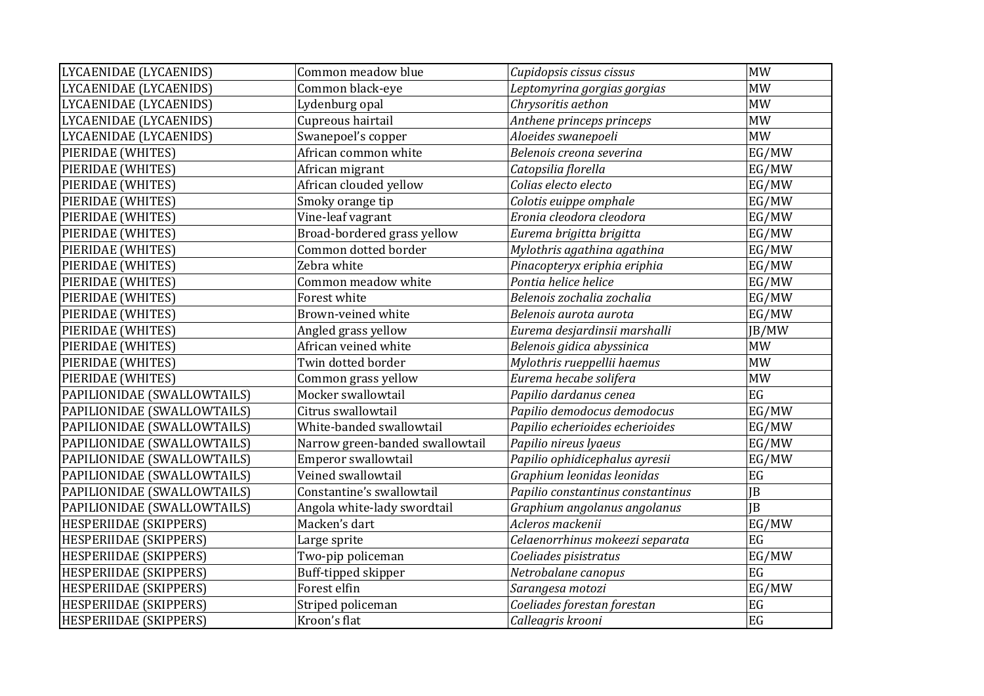| LYCAENIDAE (LYCAENIDS)        | Common meadow blue              | Cupidopsis cissus cissus                  | <b>MW</b>            |
|-------------------------------|---------------------------------|-------------------------------------------|----------------------|
| LYCAENIDAE (LYCAENIDS)        | Common black-eye                | Leptomyrina gorgias gorgias               | <b>MW</b>            |
| LYCAENIDAE (LYCAENIDS)        | Lydenburg opal                  | Chrysoritis aethon                        | <b>MW</b>            |
| LYCAENIDAE (LYCAENIDS)        | Cupreous hairtail               | Anthene princeps princeps                 | <b>MW</b>            |
| LYCAENIDAE (LYCAENIDS)        | Swanepoel's copper              | Aloeides swanepoeli                       | <b>MW</b>            |
| PIERIDAE (WHITES)             | African common white            | Belenois creona severina                  | EG/MW                |
| PIERIDAE (WHITES)             | African migrant                 | Catopsilia florella                       | EG/MW                |
| PIERIDAE (WHITES)             | African clouded yellow          | Colias electo electo                      | EG/MW                |
| PIERIDAE (WHITES)             | Smoky orange tip                | Colotis euippe omphale                    | EG/MW                |
| PIERIDAE (WHITES)             | Vine-leaf vagrant               | Eronia cleodora cleodora                  | EG/MW                |
| PIERIDAE (WHITES)             | Broad-bordered grass yellow     | Eurema brigitta brigitta                  | EG/MW                |
| PIERIDAE (WHITES)             | Common dotted border            | Mylothris agathina agathina               | EG/MW                |
| PIERIDAE (WHITES)             | Zebra white                     | Pinacopteryx eriphia eriphia              | EG/MW                |
| PIERIDAE (WHITES)             | Common meadow white             | Pontia helice helice                      | EG/MW                |
| PIERIDAE (WHITES)             | Forest white                    | Belenois zochalia zochalia                | EG/MW                |
| PIERIDAE (WHITES)             | Brown-veined white              | Belenois aurota aurota                    | EG/MW                |
| PIERIDAE (WHITES)             | Angled grass yellow             | Eurema desjardinsii marshalli             | JB/MW                |
| PIERIDAE (WHITES)             | African veined white            | Belenois gidica abyssinica                | <b>MW</b>            |
| PIERIDAE (WHITES)             | Twin dotted border              | $\overline{My}$ lothris rueppellii haemus | <b>MW</b>            |
| PIERIDAE (WHITES)             | Common grass yellow             | Eurema hecabe solifera                    | <b>MW</b>            |
| PAPILIONIDAE (SWALLOWTAILS)   | Mocker swallowtail              | Papilio dardanus cenea                    | EG                   |
| PAPILIONIDAE (SWALLOWTAILS)   | Citrus swallowtail              | Papilio demodocus demodocus               | EG/MW                |
| PAPILIONIDAE (SWALLOWTAILS)   | White-banded swallowtail        | Papilio echerioides echerioides           | EG/MW                |
| PAPILIONIDAE (SWALLOWTAILS)   | Narrow green-banded swallowtail | Papilio nireus lyaeus                     | EG/MW                |
| PAPILIONIDAE (SWALLOWTAILS)   | Emperor swallowtail             | Papilio ophidicephalus ayresii            | EG/MW                |
| PAPILIONIDAE (SWALLOWTAILS)   | Veined swallowtail              | Graphium leonidas leonidas                | EG                   |
| PAPILIONIDAE (SWALLOWTAILS)   | Constantine's swallowtail       | Papilio constantinus constantinus         | <b>IB</b>            |
| PAPILIONIDAE (SWALLOWTAILS)   | Angola white-lady swordtail     | Graphium angolanus angolanus              | IB                   |
| HESPERIIDAE (SKIPPERS)        | Macken's dart                   | Acleros mackenii                          | EG/MW                |
| HESPERIIDAE (SKIPPERS)        | Large sprite                    | Celaenorrhinus mokeezi separata           | EG                   |
| HESPERIIDAE (SKIPPERS)        | Two-pip policeman               | Coeliades pisistratus                     | EG/MW                |
| <b>HESPERIIDAE (SKIPPERS)</b> | Buff-tipped skipper             | Netrobalane canopus                       | EG                   |
| <b>HESPERIIDAE (SKIPPERS)</b> | Forest elfin                    | Sarangesa motozi                          | EG/MW                |
| HESPERIIDAE (SKIPPERS)        | Striped policeman               | Coeliades forestan forestan               | $\operatorname{E} G$ |
| <b>HESPERIIDAE (SKIPPERS)</b> | Kroon's flat                    | Calleagris krooni                         | EG                   |